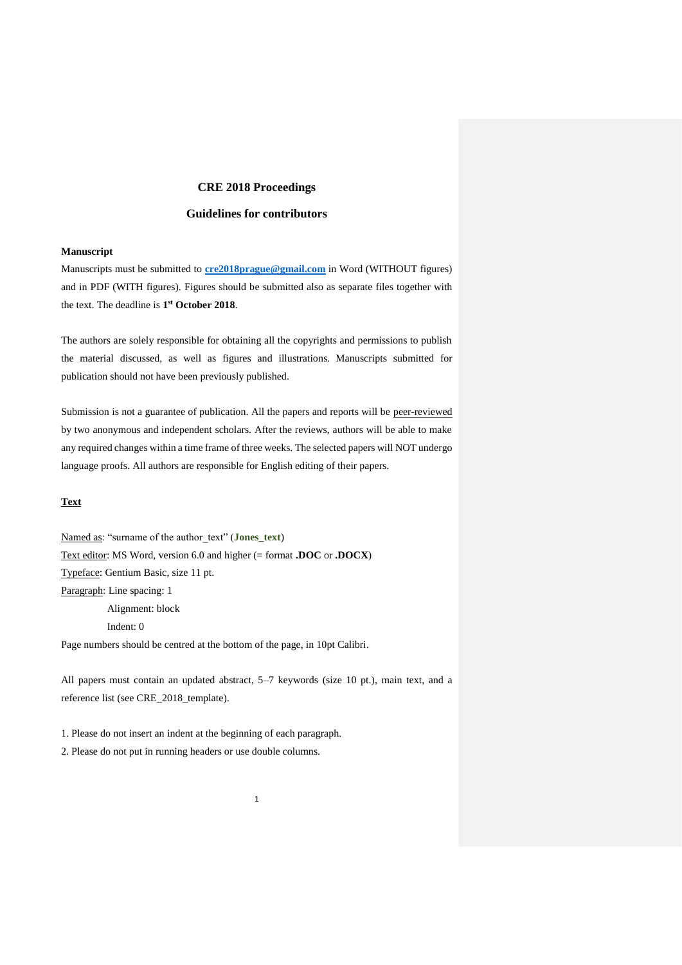# **CRE 2018 Proceedings**

# **Guidelines for contributors**

## **Manuscript**

Manuscripts must be submitted to **[cre2018prague@gmail.com](mailto:cre2018prague@gmail.com)** in Word (WITHOUT figures) and in PDF (WITH figures). Figures should be submitted also as separate files together with the text. The deadline is **1 st October 2018**.

The authors are solely responsible for obtaining all the copyrights and permissions to publish the material discussed, as well as figures and illustrations. Manuscripts submitted for publication should not have been previously published.

Submission is not a guarantee of publication. All the papers and reports will be peer-reviewed by two anonymous and independent scholars. After the reviews, authors will be able to make any required changes within a time frame of three weeks. The selected papers will NOT undergo language proofs. All authors are responsible for English editing of their papers.

# **Text**

Named as: "surname of the author\_text" (**Jones\_text**) Text editor: MS Word, version 6.0 and higher (= format **.DOC** or **.DOCX**) Typeface: Gentium Basic, size 11 pt. Paragraph: Line spacing: 1 Alignment: block Indent: 0

Page numbers should be centred at the bottom of the page, in 10pt Calibri.

All papers must contain an updated abstract, 5–7 keywords (size 10 pt.), main text, and a reference list (see CRE\_2018\_template).

1. Please do not insert an indent at the beginning of each paragraph. 2. Please do not put in running headers or use double columns.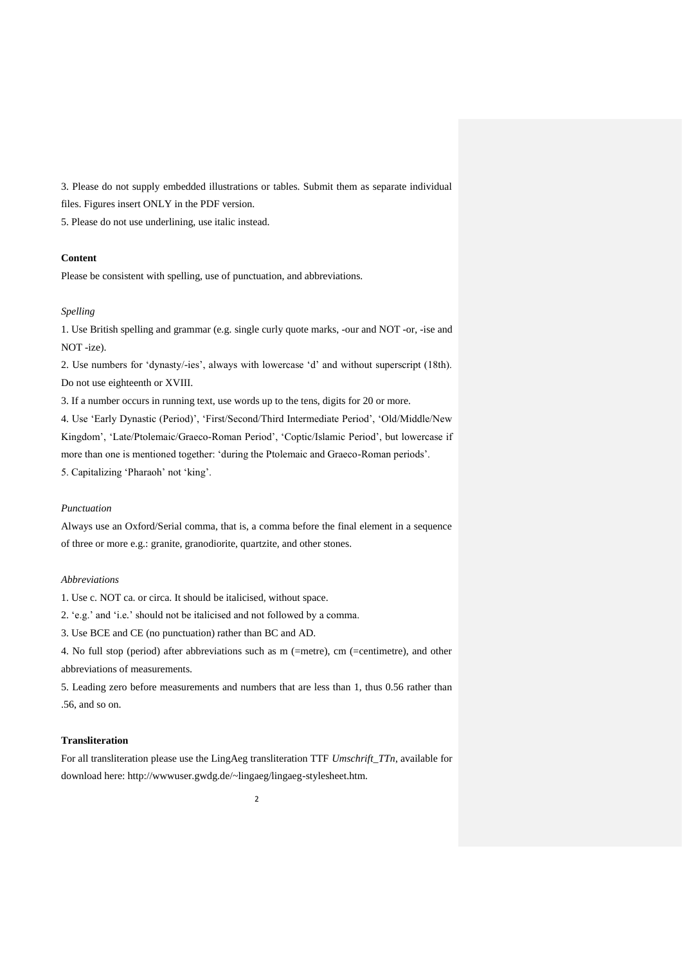3. Please do not supply embedded illustrations or tables. Submit them as separate individual files. Figures insert ONLY in the PDF version.

5. Please do not use underlining, use italic instead.

## **Content**

Please be consistent with spelling, use of punctuation, and abbreviations.

#### *Spelling*

1. Use British spelling and grammar (e.g*.* single curly quote marks, -our and NOT -or, -ise and NOT -ize).

2. Use numbers for 'dynasty/-ies', always with lowercase 'd' and without superscript (18th). Do not use eighteenth or XVIII.

3. If a number occurs in running text, use words up to the tens, digits for 20 or more.

4. Use 'Early Dynastic (Period)', 'First/Second/Third Intermediate Period', 'Old/Middle/New Kingdom', 'Late/Ptolemaic/Graeco-Roman Period', 'Coptic/Islamic Period', but lowercase if more than one is mentioned together: 'during the Ptolemaic and Graeco-Roman periods'. 5. Capitalizing 'Pharaoh' not 'king'.

#### *Punctuation*

Always use an Oxford/Serial comma, that is, a comma before the final element in a sequence of three or more e.g.: granite, granodiorite, quartzite, and other stones.

## *Abbreviations*

1. Use c. NOT ca. or circa. It should be italicised, without space.

2. 'e.g.' and 'i.e*.*' should not be italicised and not followed by a comma.

3. Use BCE and CE (no punctuation) rather than BC and AD.

4. No full stop (period) after abbreviations such as m (=metre), cm (=centimetre), and other abbreviations of measurements.

5. Leading zero before measurements and numbers that are less than 1, thus 0.56 rather than .56, and so on.

## **Transliteration**

For all transliteration please use the LingAeg transliteration TTF *Umschrift\_TTn*, available for download here: http://wwwuser.gwdg.de/~lingaeg/lingaeg-stylesheet.htm.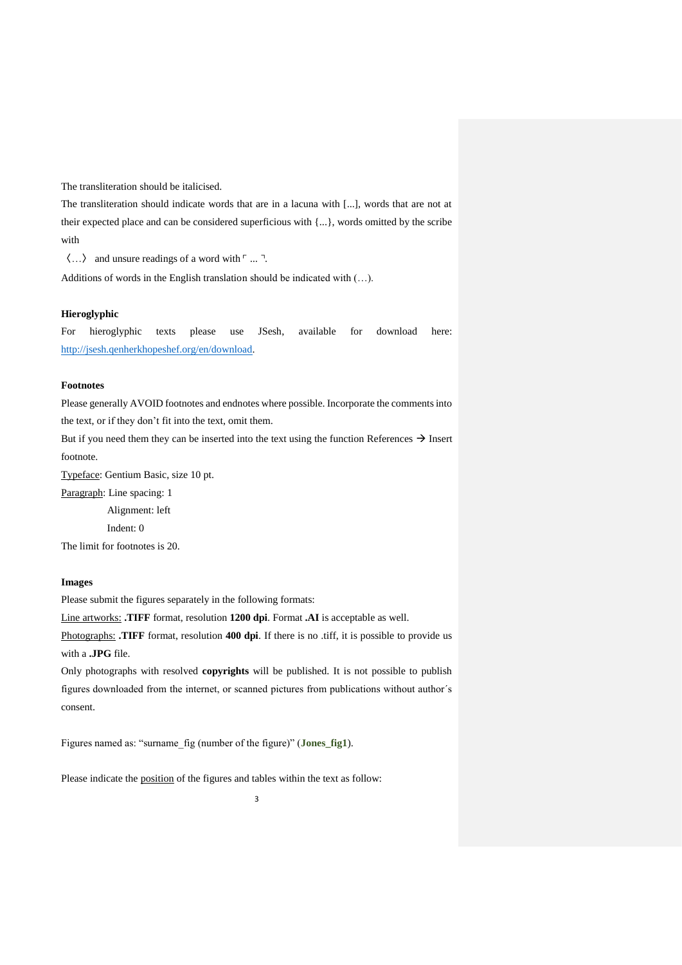The transliteration should be italicised.

The transliteration should indicate words that are in a lacuna with [...], words that are not at their expected place and can be considered superficious with {...}, words omitted by the scribe with

〈…〉 and unsure readings of a word with ⌜*...*⌝.

Additions of words in the English translation should be indicated with (…).

#### **Hieroglyphic**

For hieroglyphic texts please use JSesh, available for download here: [http://jsesh.qenherkhopeshef.org/en/download.](http://jsesh.qenherkhopeshef.org/en/download)

### **Footnotes**

Please generally AVOID footnotes and endnotes where possible. Incorporate the comments into the text, or if they don't fit into the text, omit them.

But if you need them they can be inserted into the text using the function References  $\rightarrow$  Insert footnote.

Typeface: Gentium Basic, size 10 pt.

Paragraph: Line spacing: 1 Alignment: left Indent: 0

The limit for footnotes is 20.

# **Images**

Please submit the figures separately in the following formats:

Line artworks: **.TIFF** format, resolution **1200 dpi**. Format **.AI** is acceptable as well.

Photographs: **.TIFF** format, resolution **400 dpi**. If there is no .tiff, it is possible to provide us with a **.JPG** file.

Only photographs with resolved **copyrights** will be published. It is not possible to publish figures downloaded from the internet, or scanned pictures from publications without author´s consent.

Figures named as: "surname\_fig (number of the figure)" (**Jones\_fig1**).

Please indicate the position of the figures and tables within the text as follow: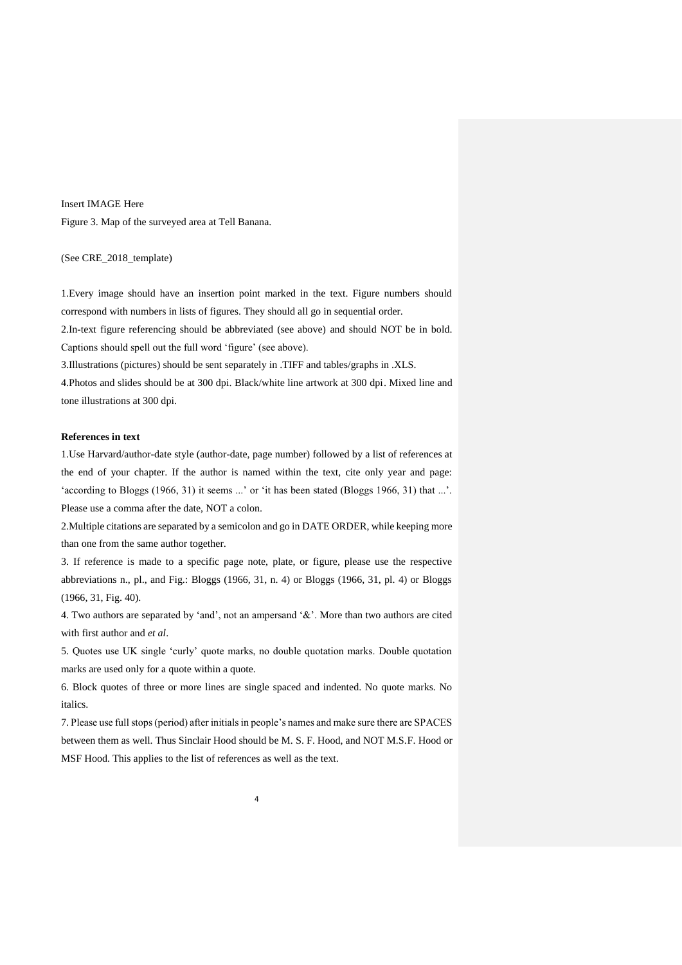Insert IMAGE Here Figure 3. Map of the surveyed area at Tell Banana.

(See CRE\_2018\_template)

1.Every image should have an insertion point marked in the text. Figure numbers should correspond with numbers in lists of figures. They should all go in sequential order.

2.In-text figure referencing should be abbreviated (see above) and should NOT be in bold. Captions should spell out the full word 'figure' (see above).

3.Illustrations (pictures) should be sent separately in .TIFF and tables/graphs in .XLS.

4.Photos and slides should be at 300 dpi. Black/white line artwork at 300 dpi. Mixed line and tone illustrations at 300 dpi.

### **References in text**

1.Use Harvard/author-date style (author-date, page number) followed by a list of references at the end of your chapter. If the author is named within the text, cite only year and page: 'according to Bloggs (1966, 31) it seems ...' or 'it has been stated (Bloggs 1966, 31) that ...'. Please use a comma after the date, NOT a colon.

2.Multiple citations are separated by a semicolon and go in DATE ORDER, while keeping more than one from the same author together.

3. If reference is made to a specific page note, plate, or figure, please use the respective abbreviations n., pl., and Fig.: Bloggs (1966, 31, n. 4) or Bloggs (1966, 31, pl. 4) or Bloggs (1966, 31, Fig. 40).

4. Two authors are separated by 'and', not an ampersand '&'. More than two authors are cited with first author and *et al*.

5. Quotes use UK single 'curly' quote marks, no double quotation marks. Double quotation marks are used only for a quote within a quote.

6. Block quotes of three or more lines are single spaced and indented. No quote marks. No italics.

7. Please use full stops (period) after initials in people's names and make sure there are SPACES between them as well. Thus Sinclair Hood should be M. S. F. Hood, and NOT M.S.F. Hood or MSF Hood. This applies to the list of references as well as the text.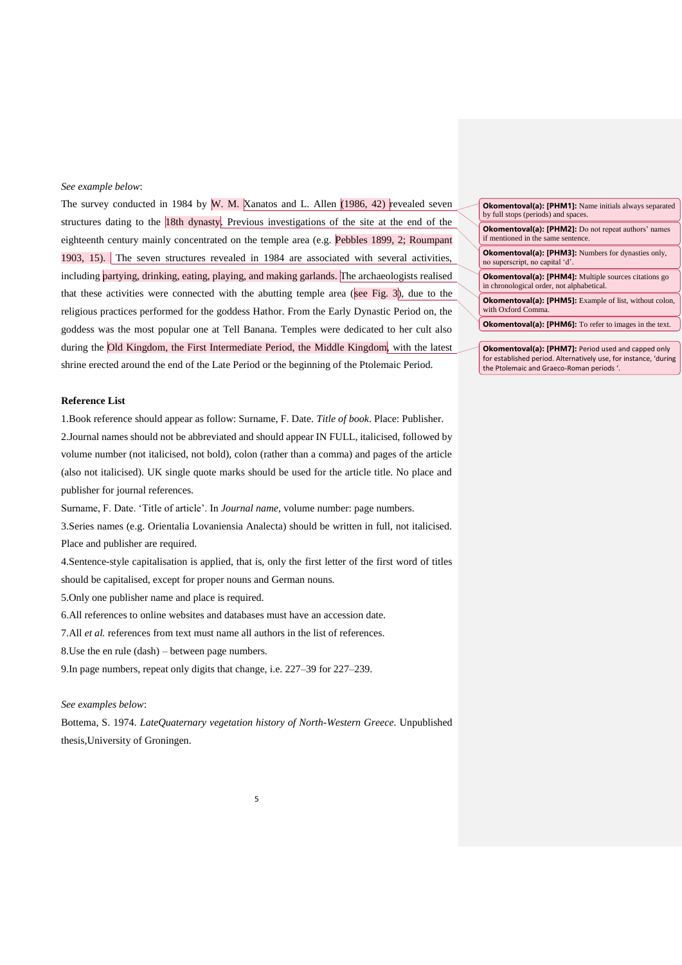#### *See example below*:

The survey conducted in 1984 by W. M. Xanatos and L. Allen (1986, 42) revealed seven structures dating to the 18th dynasty. Previous investigations of the site at the end of the eighteenth century mainly concentrated on the temple area (e.g. Pebbles 1899, 2; Roumpant 1903, 15). The seven structures revealed in 1984 are associated with several activities, including partying, drinking, eating, playing, and making garlands. The archaeologists realised that these activities were connected with the abutting temple area (see Fig.  $3$ ), due to the religious practices performed for the goddess Hathor. From the Early Dynastic Period on, the goddess was the most popular one at Tell Banana. Temples were dedicated to her cult also during the Old Kingdom, the First Intermediate Period, the Middle Kingdom, with the latest shrine erected around the end of the Late Period or the beginning of the Ptolemaic Period.

#### **Reference List**

1.Book reference should appear as follow: Surname, F. Date. *Title of book*. Place: Publisher. 2.Journal names should not be abbreviated and should appear IN FULL, italicised, followed by volume number (not italicised, not bold), colon (rather than a comma) and pages of the article (also not italicised). UK single quote marks should be used for the article title. No place and publisher for journal references.

Surname, F. Date. 'Title of article'. In *Journal name*, volume number: page numbers.

3.Series names (e.g. Orientalia Lovaniensia Analecta) should be written in full, not italicised. Place and publisher are required.

4.Sentence-style capitalisation is applied, that is, only the first letter of the first word of titles should be capitalised, except for proper nouns and German nouns.

5.Only one publisher name and place is required.

6.All references to online websites and databases must have an accession date.

7.All *et al.* references from text must name all authors in the list of references.

8.Use the en rule (dash) – between page numbers.

9.In page numbers, repeat only digits that change, i.e. 227–39 for 227–239.

#### *See examples below*:

Bottema, S. 1974. *LateQuaternary vegetation history of North-Western Greece*. Unpublished thesis,University of Groningen.

| <b>Okomentoval(a): [PHM1]:</b> Name initials always separated<br>by full stops (periods) and spaces.      |
|-----------------------------------------------------------------------------------------------------------|
| <b>Okomentoval(a): [PHM2]:</b> Do not repeat authors' names<br>if mentioned in the same sentence.         |
| <b>Okomentoval(a): [PHM3]:</b> Numbers for dynasties only,<br>no superscript, no capital 'd'.             |
| <b>Okomentoval(a): [PHM4]:</b> Multiple sources citations go<br>in chronological order, not alphabetical. |
| <b>Okomentoval(a): [PHM5]:</b> Example of list, without colon,<br>with Oxford Comma.                      |
| <b>Okomentoval(a): [PHM6]:</b> To refer to images in the text.                                            |
|                                                                                                           |
|                                                                                                           |

**Okomentoval(a): [PHM7]:** Period used and capped only for established period. Alternatively use, for instance, 'during the Ptolemaic and Graeco-Roman periods '.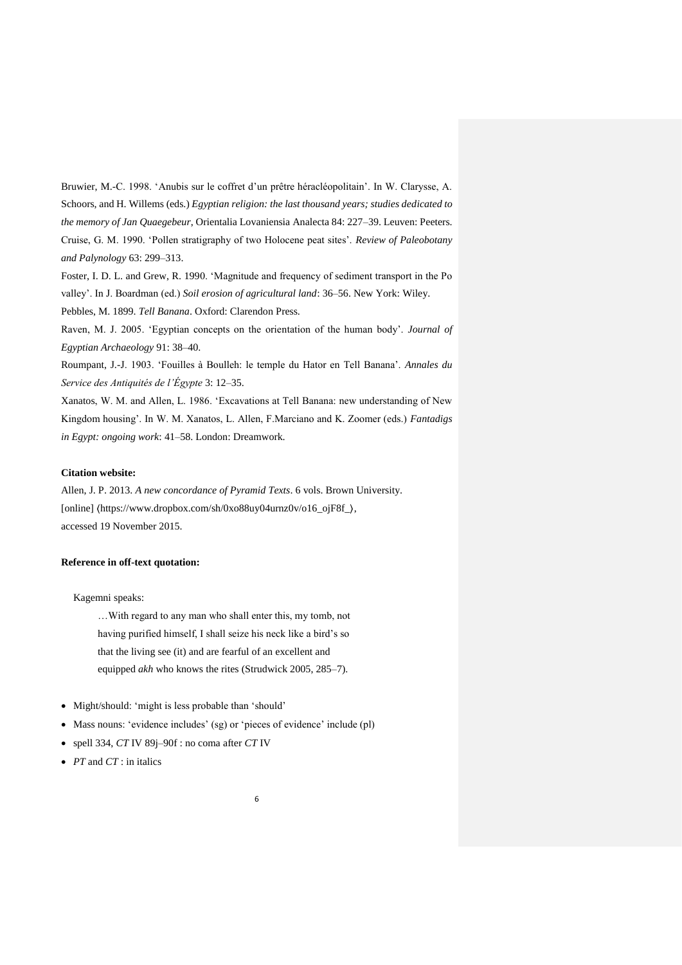Bruwier, M.-C. 1998. 'Anubis sur le coffret d'un prêtre héracléopolitain'. In W. Clarysse, A. Schoors, and H. Willems (eds.) *Egyptian religion: the last thousand years; studies dedicated to the memory of Jan Quaegebeur*, Orientalia Lovaniensia Analecta 84: 227–39. Leuven: Peeters. Cruise, G. M. 1990. 'Pollen stratigraphy of two Holocene peat sites'. *Review of Paleobotany and Palynology* 63: 299–313.

Foster, I. D. L. and Grew, R. 1990. 'Magnitude and frequency of sediment transport in the Po valley'. In J. Boardman (ed.) *Soil erosion of agricultural land*: 36–56. New York: Wiley.

Pebbles, M. 1899. *Tell Banana*. Oxford: Clarendon Press.

Raven, M. J. 2005. 'Egyptian concepts on the orientation of the human body'. *Journal of Egyptian Archaeology* 91: 38–40.

Roumpant, J.-J. 1903. 'Fouilles à Boulleh: le temple du Hator en Tell Banana'. *Annales du Service des Antiquités de l'Égypte* 3: 12–35.

Xanatos, W. M. and Allen, L. 1986. 'Excavations at Tell Banana: new understanding of New Kingdom housing'. In W. M. Xanatos, L. Allen, F.Marciano and K. Zoomer (eds.) *Fantadigs in Egypt: ongoing work*: 41–58. London: Dreamwork.

### **Citation website:**

Allen, J. P. 2013. *A new concordance of Pyramid Texts*. 6 vols. Brown University. [online] 〈https://www.dropbox.com/sh/0xo88uy04urnz0v/o16\_ojF8f\_〉, accessed 19 November 2015.

### **Reference in off-text quotation:**

#### Kagemni speaks:

…With regard to any man who shall enter this, my tomb, not having purified himself, I shall seize his neck like a bird's so that the living see (it) and are fearful of an excellent and equipped *akh* who knows the rites (Strudwick 2005, 285–7).

- Might/should: 'might is less probable than 'should'
- Mass nouns: 'evidence includes' (sg) or 'pieces of evidence' include (pl)
- spell 334, *CT* IV 89j–90f : no coma after *CT* IV
- *PT* and *CT* : in italics